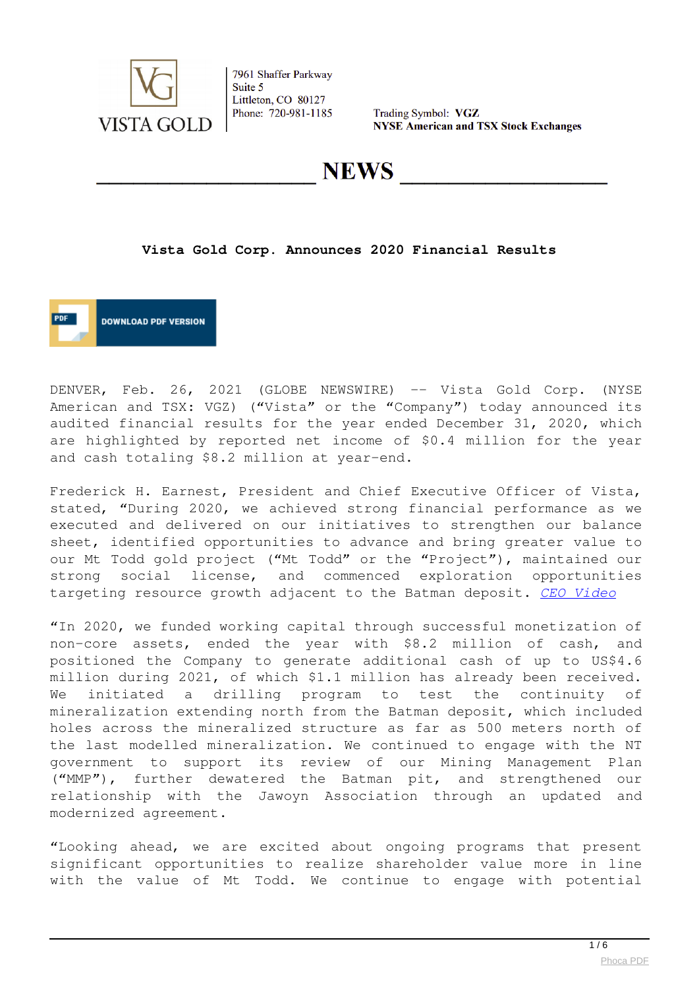

Trading Symbol: VGZ **NYSE American and TSX Stock Exchanges** 

NEWS

#### **Vista Gold Corp. Announces 2020 Financial Results**

**DOWNLOAD PDF VERSION** 

DENVER, Feb. 26, 2021 (GLOBE NEWSWIRE) -- Vista Gold Corp. (NYSE American and TSX: VGZ) ("Vista" or the "Company") today announced its audited financial results for the year ended December 31, 2020, which are highlighted by reported net income of \$0.4 million for the year and cash totaling \$8.2 million at year-end.

Frederick H. Earnest, President and Chief Executive Officer of Vista, stated, "During 2020, we achieved strong financial performance as we executed and delivered on our initiatives to strengthen our balance sheet, identified opportunities to advance and bring greater value to our Mt Todd gold project ("Mt Todd" or the "Project"), maintained our strong social license, and commenced exploration opportunities targeting resource growth adjacent to the Batman deposit. *[CEO Video](https://www.globenewswire.com/Tracker?data=WczKltU8QNkrSa0NgzYP5RsCFUIL7oJe9nKY0a30jh0KZg8yVH3YTKyOMUCuTe2zKSy0iIxUh-gMxIELwSQbQE6cF5PcExkQQJk5lbeU87SJU4wJBKQNDceeC1EQAOMU6-LSWNQVxQcvXEaRZ08eMZWCcdxNWqDjD4Qk8Nfi6i_C5UNlcNZFNoHr9qRuRN1ajWxIsyX3Px2p1klhnUeFaoXU6KrIqu4e0lfiIFoLmXOlnG5DBOMDAYhoTbDK7cVCzaUyIpr0GQYAUHbyiqI3DP7M8Z3kPcALM6vJlSSrf-4H6J1N8b9sq4ohen-qcr0vUg5pxu_cZIOEiPITCBLcS3jGT_q9ruWn-YLlIisKWRmu8IpgXRPtHgVLFZEuidYcABn-Nm9QGM0bQOJLkDWZEHdCWcyL8oH1MhCarflLZ45br9QWFpGLRHOd5fOjC-XNg4nAd-z-Ou-GNoLRLMb2zXaGVNULjFXecqYTDKgraPV2ySp9zu444h3t6yjukTpiw-7JWgHgFdu9Cw9lU3AwlAw9uuH3tipI_q3Z9T6X63cTZHSYYPyJyxfVIOImsf3XppdOwIcESDGycfBH3kpwb7Y3ZmlwUlQIEow8IGXlCVU=)*

"In 2020, we funded working capital through successful monetization of non-core assets, ended the year with \$8.2 million of cash, and positioned the Company to generate additional cash of up to US\$4.6 million during 2021, of which \$1.1 million has already been received. We initiated a drilling program to test the continuity of mineralization extending north from the Batman deposit, which included holes across the mineralized structure as far as 500 meters north of the last modelled mineralization. We continued to engage with the NT government to support its review of our Mining Management Plan ("MMP"), further dewatered the Batman pit, and strengthened our relationship with the Jawoyn Association through an updated and modernized agreement.

"Looking ahead, we are excited about ongoing programs that present significant opportunities to realize shareholder value more in line with the value of Mt Todd. We continue to engage with potential

 $1/6$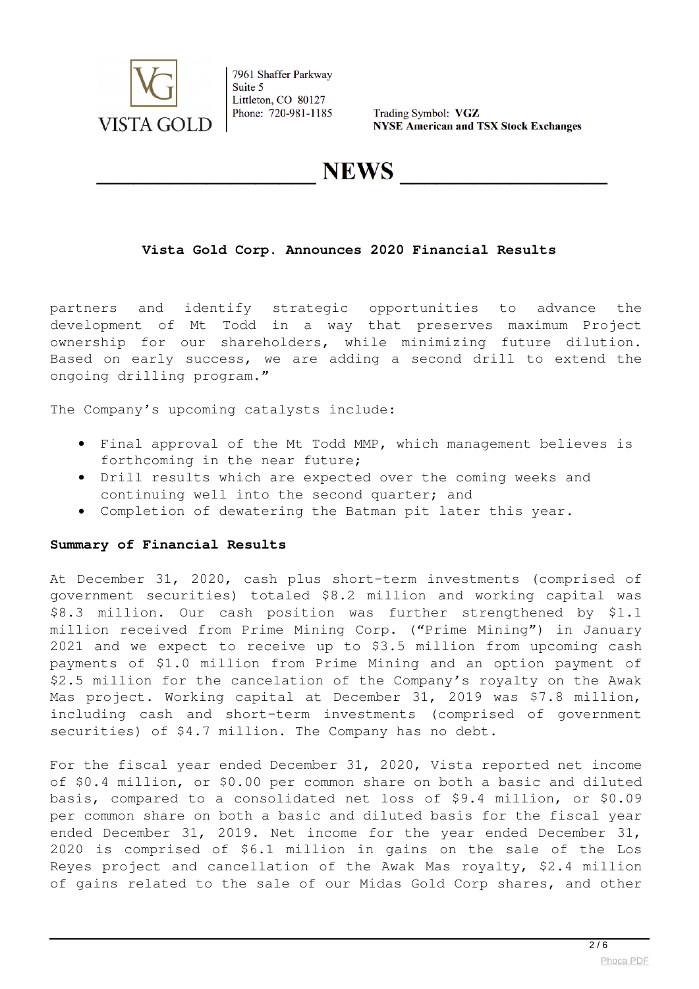

Trading Symbol: VGZ **NYSE American and TSX Stock Exchanges** 

# **NEWS**

### **Vista Gold Corp. Announces 2020 Financial Results**

partners and identify strategic opportunities to advance the development of Mt Todd in a way that preserves maximum Project ownership for our shareholders, while minimizing future dilution. Based on early success, we are adding a second drill to extend the ongoing drilling program."

The Company's upcoming catalysts include:

- Final approval of the Mt Todd MMP, which management believes is forthcoming in the near future;
- Drill results which are expected over the coming weeks and continuing well into the second quarter; and
- Completion of dewatering the Batman pit later this year.

#### **Summary of Financial Results**

At December 31, 2020, cash plus short-term investments (comprised of government securities) totaled \$8.2 million and working capital was \$8.3 million. Our cash position was further strengthened by \$1.1 million received from Prime Mining Corp. ("Prime Mining") in January 2021 and we expect to receive up to \$3.5 million from upcoming cash payments of \$1.0 million from Prime Mining and an option payment of \$2.5 million for the cancelation of the Company's royalty on the Awak Mas project. Working capital at December 31, 2019 was \$7.8 million, including cash and short-term investments (comprised of government securities) of \$4.7 million. The Company has no debt.

For the fiscal year ended December 31, 2020, Vista reported net income of \$0.4 million, or \$0.00 per common share on both a basic and diluted basis, compared to a consolidated net loss of \$9.4 million, or \$0.09 per common share on both a basic and diluted basis for the fiscal year ended December 31, 2019. Net income for the year ended December 31, 2020 is comprised of \$6.1 million in gains on the sale of the Los Reyes project and cancellation of the Awak Mas royalty, \$2.4 million of gains related to the sale of our Midas Gold Corp shares, and other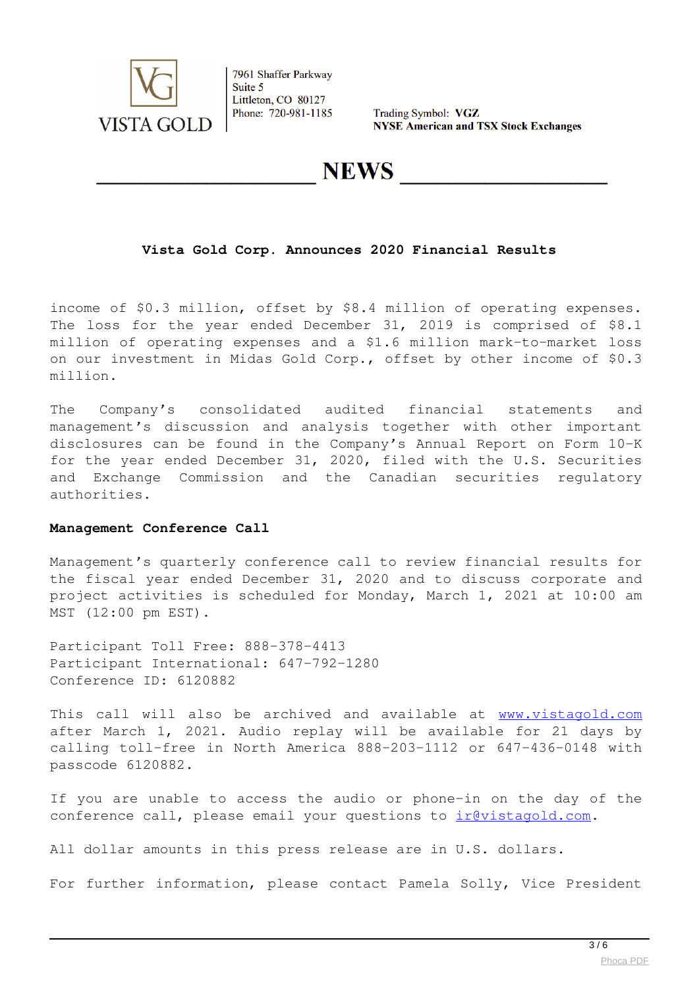

Trading Symbol: VGZ **NYSE American and TSX Stock Exchanges** 

## **NEWS**

### **Vista Gold Corp. Announces 2020 Financial Results**

income of \$0.3 million, offset by \$8.4 million of operating expenses. The loss for the year ended December 31, 2019 is comprised of \$8.1 million of operating expenses and a \$1.6 million mark-to-market loss on our investment in Midas Gold Corp., offset by other income of \$0.3 million.

The Company's consolidated audited financial statements and management's discussion and analysis together with other important disclosures can be found in the Company's Annual Report on Form 10-K for the year ended December 31, 2020, filed with the U.S. Securities and Exchange Commission and the Canadian securities regulatory authorities.

#### **Management Conference Call**

Management's quarterly conference call to review financial results for the fiscal year ended December 31, 2020 and to discuss corporate and project activities is scheduled for Monday, March 1, 2021 at 10:00 am MST (12:00 pm EST).

Participant Toll Free: 888-378-4413 Participant International: 647-792-1280 Conference ID: 6120882

This call will also be archived and available at [www.vistagold.com](https://www.globenewswire.com/Tracker?data=pgYyGqkQM_GNAGsbpFu0Nx2L8ias9kpKKZn4urxWhLBEJ0NuVXS29KLYLRPiOPTgCleBQD9g0h-YtRhdai7PRw==) after March 1, 2021. Audio replay will be available for 21 days by calling toll-free in North America 888-203-1112 or 647-436-0148 with passcode 6120882.

If you are unable to access the audio or phone-in on the day of the conference call, please email your questions to irevistagold.com.

All dollar amounts in this press release are in U.S. dollars.

For further information, please contact Pamela Solly, Vice President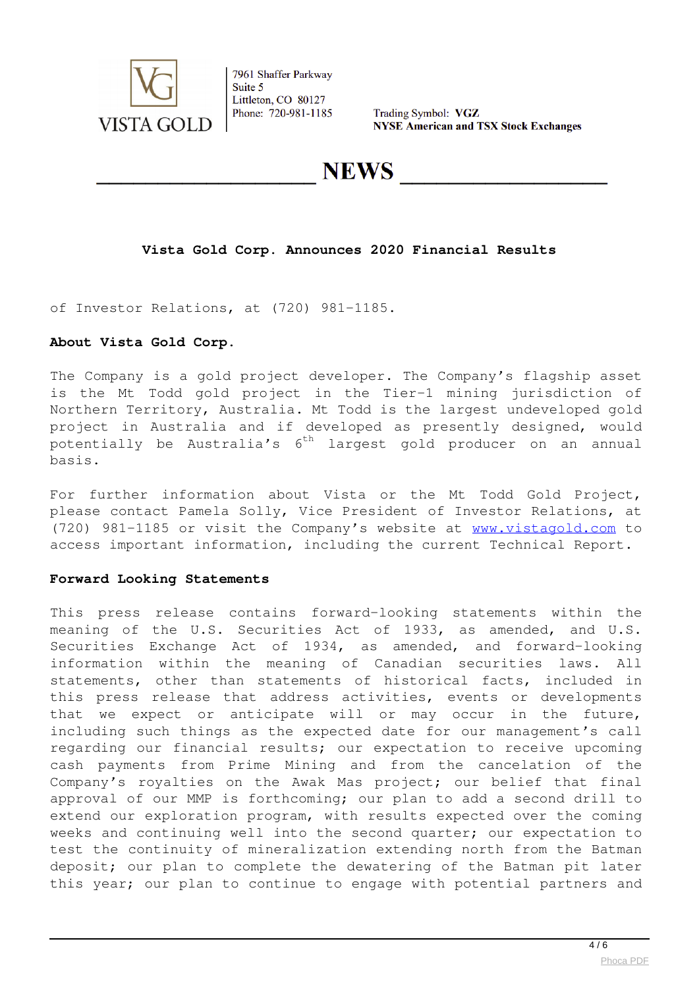

Trading Symbol: VGZ **NYSE American and TSX Stock Exchanges** 

# **NEWS**

### **Vista Gold Corp. Announces 2020 Financial Results**

of Investor Relations, at (720) 981-1185.

### **About Vista Gold Corp.**

The Company is a gold project developer. The Company's flagship asset is the Mt Todd gold project in the Tier-1 mining jurisdiction of Northern Territory, Australia. Mt Todd is the largest undeveloped gold project in Australia and if developed as presently designed, would potentially be Australia's  $6<sup>th</sup>$  largest gold producer on an annual basis.

For further information about Vista or the Mt Todd Gold Project, please contact Pamela Solly, Vice President of Investor Relations, at (720) 981-1185 or visit the Company's website at [www.vistagold.com](https://www.globenewswire.com/Tracker?data=pgYyGqkQM_GNAGsbpFu0N6JulDgJysMTs8Bfz-C2WnMXkKVNLRQDB5R0jN20H6EBVuaOKHJZkskyj6KW41ixcw==) to access important information, including the current Technical Report.

#### **Forward Looking Statements**

This press release contains forward-looking statements within the meaning of the U.S. Securities Act of 1933, as amended, and U.S. Securities Exchange Act of 1934, as amended, and forward-looking information within the meaning of Canadian securities laws. All statements, other than statements of historical facts, included in this press release that address activities, events or developments that we expect or anticipate will or may occur in the future, including such things as the expected date for our management's call regarding our financial results; our expectation to receive upcoming cash payments from Prime Mining and from the cancelation of the Company's royalties on the Awak Mas project; our belief that final approval of our MMP is forthcoming; our plan to add a second drill to extend our exploration program, with results expected over the coming weeks and continuing well into the second quarter; our expectation to test the continuity of mineralization extending north from the Batman deposit; our plan to complete the dewatering of the Batman pit later this year; our plan to continue to engage with potential partners and

 $4/6$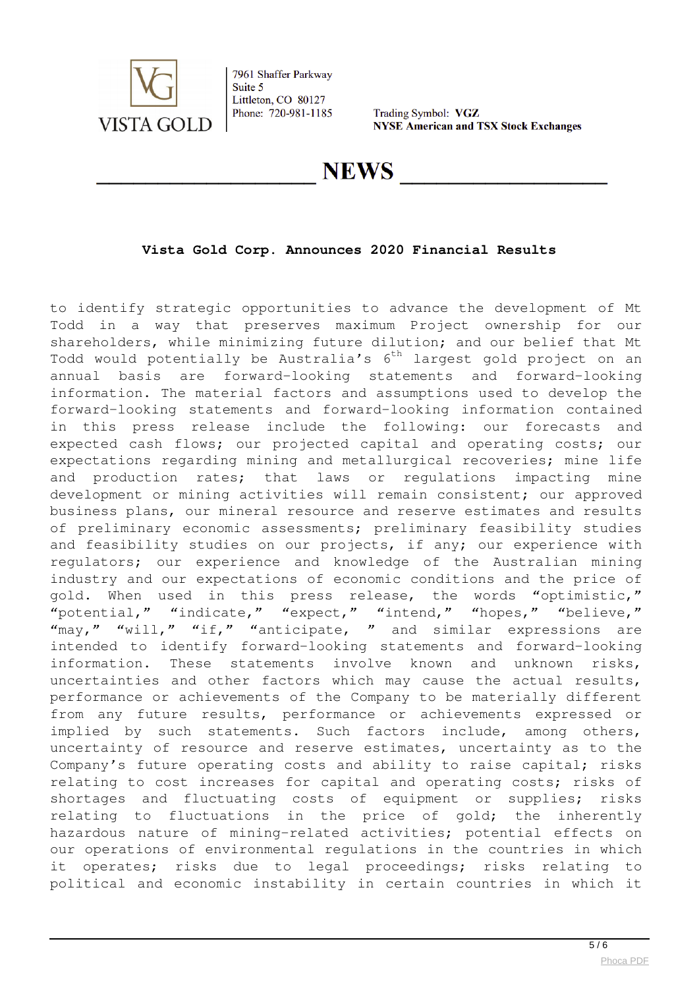

Trading Symbol: VGZ **NYSE American and TSX Stock Exchanges** 

# **NEWS**

### **Vista Gold Corp. Announces 2020 Financial Results**

to identify strategic opportunities to advance the development of Mt Todd in a way that preserves maximum Project ownership for our shareholders, while minimizing future dilution; and our belief that Mt Todd would potentially be Australia's  $6<sup>th</sup>$  largest gold project on an annual basis are forward-looking statements and forward-looking information. The material factors and assumptions used to develop the forward-looking statements and forward-looking information contained in this press release include the following: our forecasts and expected cash flows; our projected capital and operating costs; our expectations regarding mining and metallurgical recoveries; mine life and production rates; that laws or regulations impacting mine development or mining activities will remain consistent; our approved business plans, our mineral resource and reserve estimates and results of preliminary economic assessments; preliminary feasibility studies and feasibility studies on our projects, if any; our experience with regulators; our experience and knowledge of the Australian mining industry and our expectations of economic conditions and the price of gold. When used in this press release, the words "optimistic," "potential," "indicate," "expect," "intend," "hopes," "believe," "may," "will," "if," "anticipate, " and similar expressions are intended to identify forward-looking statements and forward-looking information. These statements involve known and unknown risks, uncertainties and other factors which may cause the actual results, performance or achievements of the Company to be materially different from any future results, performance or achievements expressed or implied by such statements. Such factors include, among others, uncertainty of resource and reserve estimates, uncertainty as to the Company's future operating costs and ability to raise capital; risks relating to cost increases for capital and operating costs; risks of shortages and fluctuating costs of equipment or supplies; risks relating to fluctuations in the price of gold; the inherently hazardous nature of mining-related activities; potential effects on our operations of environmental regulations in the countries in which it operates; risks due to legal proceedings; risks relating to political and economic instability in certain countries in which it